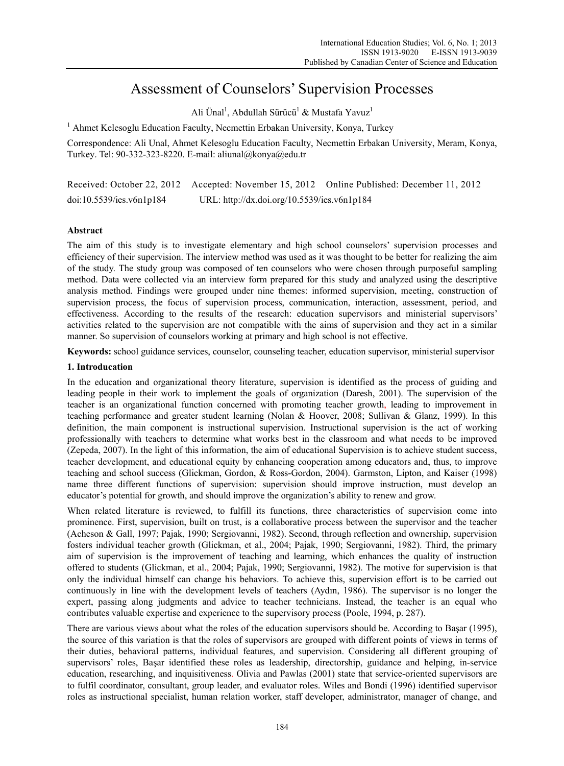# Assessment of Counselors' Supervision Processes

Ali Ünal<sup>1</sup>, Abdullah Sürücü<sup>1</sup> & Mustafa Yavuz<sup>1</sup>

<sup>1</sup> Ahmet Kelesoglu Education Faculty, Necmettin Erbakan University, Konya, Turkey

Correspondence: Ali Unal, Ahmet Kelesoglu Education Faculty, Necmettin Erbakan University, Meram, Konya, Turkey. Tel: 90-332-323-8220. E-mail: aliunal@konya@edu.tr

|                          |                                             | Received: October 22, 2012 Accepted: November 15, 2012 Online Published: December 11, 2012 |  |
|--------------------------|---------------------------------------------|--------------------------------------------------------------------------------------------|--|
| doi:10.5539/ies.v6n1p184 | URL: http://dx.doi.org/10.5539/ies.v6n1p184 |                                                                                            |  |

# **Abstract**

The aim of this study is to investigate elementary and high school counselors' supervision processes and efficiency of their supervision. The interview method was used as it was thought to be better for realizing the aim of the study. The study group was composed of ten counselors who were chosen through purposeful sampling method. Data were collected via an interview form prepared for this study and analyzed using the descriptive analysis method. Findings were grouped under nine themes: informed supervision, meeting, construction of supervision process, the focus of supervision process, communication, interaction, assessment, period, and effectiveness. According to the results of the research: education supervisors and ministerial supervisors' activities related to the supervision are not compatible with the aims of supervision and they act in a similar manner. So supervision of counselors working at primary and high school is not effective.

**Keywords:** school guidance services, counselor, counseling teacher, education supervisor, ministerial supervisor

# **1. Introducation**

In the education and organizational theory literature, supervision is identified as the process of guiding and leading people in their work to implement the goals of organization (Daresh, 2001). The supervision of the teacher is an organizational function concerned with promoting teacher growth, leading to improvement in teaching performance and greater student learning (Nolan & Hoover, 2008; Sullivan & Glanz, 1999). In this definition, the main component is instructional supervision. Instructional supervision is the act of working professionally with teachers to determine what works best in the classroom and what needs to be improved (Zepeda, 2007). In the light of this information, the aim of educational Supervision is to achieve student success, teacher development, and educational equity by enhancing cooperation among educators and, thus, to improve teaching and school success (Glickman, Gordon, & Ross-Gordon, 2004). Garmston, Lipton, and Kaiser (1998) name three different functions of supervision: supervision should improve instruction, must develop an educator's potential for growth, and should improve the organization's ability to renew and grow.

When related literature is reviewed, to fulfill its functions, three characteristics of supervision come into prominence. First, supervision, built on trust, is a collaborative process between the supervisor and the teacher (Acheson & Gall, 1997; Pajak, 1990; Sergiovanni, 1982). Second, through reflection and ownership, supervision fosters individual teacher growth (Glickman, et al., 2004; Pajak, 1990; Sergiovanni, 1982). Third, the primary aim of supervision is the improvement of teaching and learning, which enhances the quality of instruction offered to students (Glickman, et al., 2004; Pajak, 1990; Sergiovanni, 1982). The motive for supervision is that only the individual himself can change his behaviors. To achieve this, supervision effort is to be carried out continuously in line with the development levels of teachers (Aydın, 1986). The supervisor is no longer the expert, passing along judgments and advice to teacher technicians. Instead, the teacher is an equal who contributes valuable expertise and experience to the supervisory process (Poole, 1994, p. 287).

There are various views about what the roles of the education supervisors should be. According to Başar (1995), the source of this variation is that the roles of supervisors are grouped with different points of views in terms of their duties, behavioral patterns, individual features, and supervision. Considering all different grouping of supervisors' roles, Başar identified these roles as leadership, directorship, guidance and helping, in-service education, researching, and inquisitiveness. Olivia and Pawlas (2001) state that service-oriented supervisors are to fulfil coordinator, consultant, group leader, and evaluator roles. Wiles and Bondi (1996) identified supervisor roles as instructional specialist, human relation worker, staff developer, administrator, manager of change, and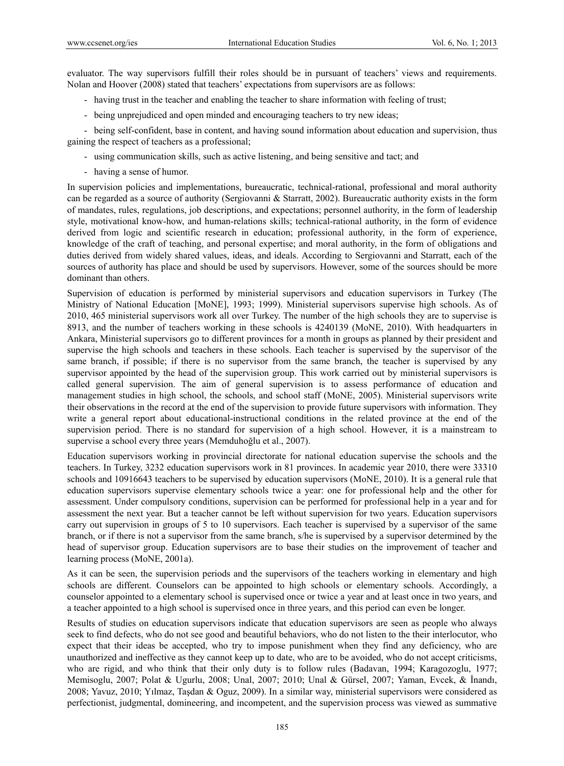evaluator. The way supervisors fulfill their roles should be in pursuant of teachers' views and requirements. Nolan and Hoover (2008) stated that teachers' expectations from supervisors are as follows:

- having trust in the teacher and enabling the teacher to share information with feeling of trust;
- being unprejudiced and open minded and encouraging teachers to try new ideas;

- being self-confident, base in content, and having sound information about education and supervision, thus gaining the respect of teachers as a professional;

- using communication skills, such as active listening, and being sensitive and tact; and
- having a sense of humor.

In supervision policies and implementations, bureaucratic, technical-rational, professional and moral authority can be regarded as a source of authority (Sergiovanni & Starratt, 2002). Bureaucratic authority exists in the form of mandates, rules, regulations, job descriptions, and expectations; personnel authority, in the form of leadership style, motivational know-how, and human-relations skills; technical-rational authority, in the form of evidence derived from logic and scientific research in education; professional authority, in the form of experience, knowledge of the craft of teaching, and personal expertise; and moral authority, in the form of obligations and duties derived from widely shared values, ideas, and ideals. According to Sergiovanni and Starratt, each of the sources of authority has place and should be used by supervisors. However, some of the sources should be more dominant than others.

Supervision of education is performed by ministerial supervisors and education supervisors in Turkey (The Ministry of National Education [MoNE], 1993; 1999). Ministerial supervisors supervise high schools. As of 2010, 465 ministerial supervisors work all over Turkey. The number of the high schools they are to supervise is 8913, and the number of teachers working in these schools is 4240139 (MoNE, 2010). With headquarters in Ankara, Ministerial supervisors go to different provinces for a month in groups as planned by their president and supervise the high schools and teachers in these schools. Each teacher is supervised by the supervisor of the same branch, if possible; if there is no supervisor from the same branch, the teacher is supervised by any supervisor appointed by the head of the supervision group. This work carried out by ministerial supervisors is called general supervision. The aim of general supervision is to assess performance of education and management studies in high school, the schools, and school staff (MoNE, 2005). Ministerial supervisors write their observations in the record at the end of the supervision to provide future supervisors with information. They write a general report about educational-instructional conditions in the related province at the end of the supervision period. There is no standard for supervision of a high school. However, it is a mainstream to supervise a school every three years (Memduhoğlu et al., 2007).

Education supervisors working in provincial directorate for national education supervise the schools and the teachers. In Turkey, 3232 education supervisors work in 81 provinces. In academic year 2010, there were 33310 schools and 10916643 teachers to be supervised by education supervisors (MoNE, 2010). It is a general rule that education supervisors supervise elementary schools twice a year: one for professional help and the other for assessment. Under compulsory conditions, supervision can be performed for professional help in a year and for assessment the next year. But a teacher cannot be left without supervision for two years. Education supervisors carry out supervision in groups of 5 to 10 supervisors. Each teacher is supervised by a supervisor of the same branch, or if there is not a supervisor from the same branch, s/he is supervised by a supervisor determined by the head of supervisor group. Education supervisors are to base their studies on the improvement of teacher and learning process (MoNE, 2001a).

As it can be seen, the supervision periods and the supervisors of the teachers working in elementary and high schools are different. Counselors can be appointed to high schools or elementary schools. Accordingly, a counselor appointed to a elementary school is supervised once or twice a year and at least once in two years, and a teacher appointed to a high school is supervised once in three years, and this period can even be longer.

Results of studies on education supervisors indicate that education supervisors are seen as people who always seek to find defects, who do not see good and beautiful behaviors, who do not listen to the their interlocutor, who expect that their ideas be accepted, who try to impose punishment when they find any deficiency, who are unauthorized and ineffective as they cannot keep up to date, who are to be avoided, who do not accept criticisms, who are rigid, and who think that their only duty is to follow rules (Badavan, 1994; Karagozoglu, 1977; Memisoglu, 2007; Polat & Ugurlu, 2008; Unal, 2007; 2010; Unal & Gürsel, 2007; Yaman, Evcek, & İnandı, 2008; Yavuz, 2010; Yılmaz, Taşdan & Oguz, 2009). In a similar way, ministerial supervisors were considered as perfectionist, judgmental, domineering, and incompetent, and the supervision process was viewed as summative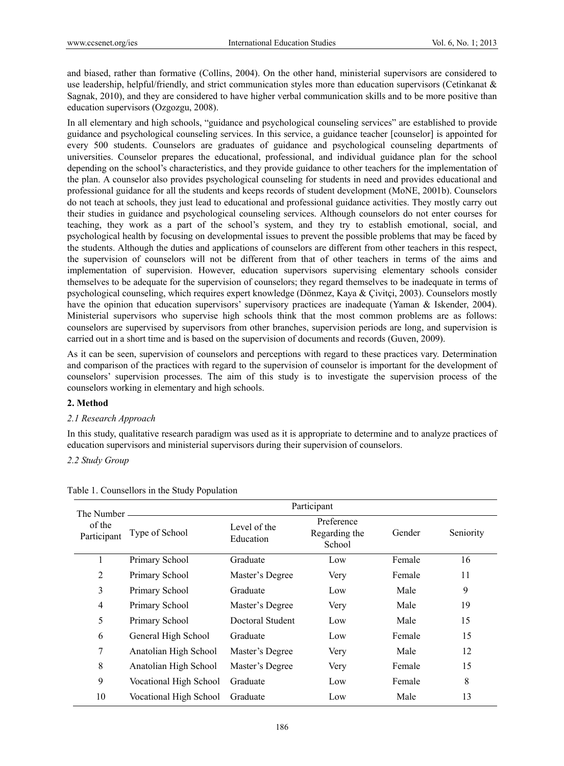and biased, rather than formative (Collins, 2004). On the other hand, ministerial supervisors are considered to use leadership, helpful/friendly, and strict communication styles more than education supervisors (Cetinkanat  $\&$ Sagnak, 2010), and they are considered to have higher verbal communication skills and to be more positive than education supervisors (Ozgozgu, 2008).

In all elementary and high schools, "guidance and psychological counseling services" are established to provide guidance and psychological counseling services. In this service, a guidance teacher [counselor] is appointed for every 500 students. Counselors are graduates of guidance and psychological counseling departments of universities. Counselor prepares the educational, professional, and individual guidance plan for the school depending on the school's characteristics, and they provide guidance to other teachers for the implementation of the plan. A counselor also provides psychological counseling for students in need and provides educational and professional guidance for all the students and keeps records of student development (MoNE, 2001b). Counselors do not teach at schools, they just lead to educational and professional guidance activities. They mostly carry out their studies in guidance and psychological counseling services. Although counselors do not enter courses for teaching, they work as a part of the school's system, and they try to establish emotional, social, and psychological health by focusing on developmental issues to prevent the possible problems that may be faced by the students. Although the duties and applications of counselors are different from other teachers in this respect, the supervision of counselors will not be different from that of other teachers in terms of the aims and implementation of supervision. However, education supervisors supervising elementary schools consider themselves to be adequate for the supervision of counselors; they regard themselves to be inadequate in terms of psychological counseling, which requires expert knowledge (Dönmez, Kaya & Çivitçi, 2003). Counselors mostly have the opinion that education supervisors' supervisory practices are inadequate (Yaman & Iskender, 2004). Ministerial supervisors who supervise high schools think that the most common problems are as follows: counselors are supervised by supervisors from other branches, supervision periods are long, and supervision is carried out in a short time and is based on the supervision of documents and records (Guven, 2009).

As it can be seen, supervision of counselors and perceptions with regard to these practices vary. Determination and comparison of the practices with regard to the supervision of counselor is important for the development of counselors' supervision processes. The aim of this study is to investigate the supervision process of the counselors working in elementary and high schools.

# **2. Method**

# *2.1 Research Approach*

In this study, qualitative research paradigm was used as it is appropriate to determine and to analyze practices of education supervisors and ministerial supervisors during their supervision of counselors.

*2.2 Study Group* 

| The Number –          | Participant            |                           |                                       |        |           |
|-----------------------|------------------------|---------------------------|---------------------------------------|--------|-----------|
| of the<br>Participant | Type of School         | Level of the<br>Education | Preference<br>Regarding the<br>School | Gender | Seniority |
| 1                     | Primary School         | Graduate                  | Low                                   | Female | 16        |
| $\overline{2}$        | Primary School         | Master's Degree           | Very                                  | Female | 11        |
| 3                     | Primary School         | Graduate                  | Low                                   | Male   | 9         |
| $\overline{4}$        | Primary School         | Master's Degree           | Very                                  | Male   | 19        |
| 5                     | Primary School         | Doctoral Student          | Low                                   | Male   | 15        |
| 6                     | General High School    | Graduate                  | Low                                   | Female | 15        |
| 7                     | Anatolian High School  | Master's Degree           | Very                                  | Male   | 12        |
| 8                     | Anatolian High School  | Master's Degree           | Very                                  | Female | 15        |
| 9                     | Vocational High School | Graduate                  | Low                                   | Female | 8         |
| 10                    | Vocational High School | Graduate                  | Low                                   | Male   | 13        |

Table 1. Counsellors in the Study Population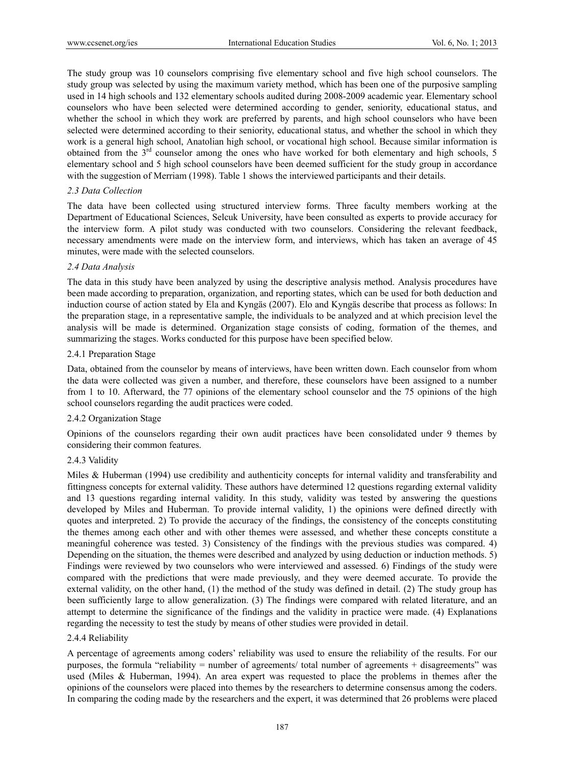The study group was 10 counselors comprising five elementary school and five high school counselors. The study group was selected by using the maximum variety method, which has been one of the purposive sampling used in 14 high schools and 132 elementary schools audited during 2008-2009 academic year. Elementary school counselors who have been selected were determined according to gender, seniority, educational status, and whether the school in which they work are preferred by parents, and high school counselors who have been selected were determined according to their seniority, educational status, and whether the school in which they work is a general high school, Anatolian high school, or vocational high school. Because similar information is obtained from the 3rd counselor among the ones who have worked for both elementary and high schools, 5 elementary school and 5 high school counselors have been deemed sufficient for the study group in accordance with the suggestion of Merriam (1998). Table 1 shows the interviewed participants and their details.

# *2.3 Data Collection*

The data have been collected using structured interview forms. Three faculty members working at the Department of Educational Sciences, Selcuk University, have been consulted as experts to provide accuracy for the interview form. A pilot study was conducted with two counselors. Considering the relevant feedback, necessary amendments were made on the interview form, and interviews, which has taken an average of 45 minutes, were made with the selected counselors.

# *2.4 Data Analysis*

The data in this study have been analyzed by using the descriptive analysis method. Analysis procedures have been made according to preparation, organization, and reporting states, which can be used for both deduction and induction course of action stated by Ela and Kyngäs (2007). Elo and Kyngäs describe that process as follows: In the preparation stage, in a representative sample, the individuals to be analyzed and at which precision level the analysis will be made is determined. Organization stage consists of coding, formation of the themes, and summarizing the stages. Works conducted for this purpose have been specified below.

# 2.4.1 Preparation Stage

Data, obtained from the counselor by means of interviews, have been written down. Each counselor from whom the data were collected was given a number, and therefore, these counselors have been assigned to a number from 1 to 10. Afterward, the 77 opinions of the elementary school counselor and the 75 opinions of the high school counselors regarding the audit practices were coded.

# 2.4.2 Organization Stage

Opinions of the counselors regarding their own audit practices have been consolidated under 9 themes by considering their common features.

# 2.4.3 Validity

Miles & Huberman (1994) use credibility and authenticity concepts for internal validity and transferability and fittingness concepts for external validity. These authors have determined 12 questions regarding external validity and 13 questions regarding internal validity. In this study, validity was tested by answering the questions developed by Miles and Huberman. To provide internal validity, 1) the opinions were defined directly with quotes and interpreted. 2) To provide the accuracy of the findings, the consistency of the concepts constituting the themes among each other and with other themes were assessed, and whether these concepts constitute a meaningful coherence was tested. 3) Consistency of the findings with the previous studies was compared. 4) Depending on the situation, the themes were described and analyzed by using deduction or induction methods. 5) Findings were reviewed by two counselors who were interviewed and assessed. 6) Findings of the study were compared with the predictions that were made previously, and they were deemed accurate. To provide the external validity, on the other hand, (1) the method of the study was defined in detail. (2) The study group has been sufficiently large to allow generalization. (3) The findings were compared with related literature, and an attempt to determine the significance of the findings and the validity in practice were made. (4) Explanations regarding the necessity to test the study by means of other studies were provided in detail.

# 2.4.4 Reliability

A percentage of agreements among coders' reliability was used to ensure the reliability of the results. For our purposes, the formula "reliability  $=$  number of agreements/ total number of agreements  $+$  disagreements" was used (Miles & Huberman, 1994). An area expert was requested to place the problems in themes after the opinions of the counselors were placed into themes by the researchers to determine consensus among the coders. In comparing the coding made by the researchers and the expert, it was determined that 26 problems were placed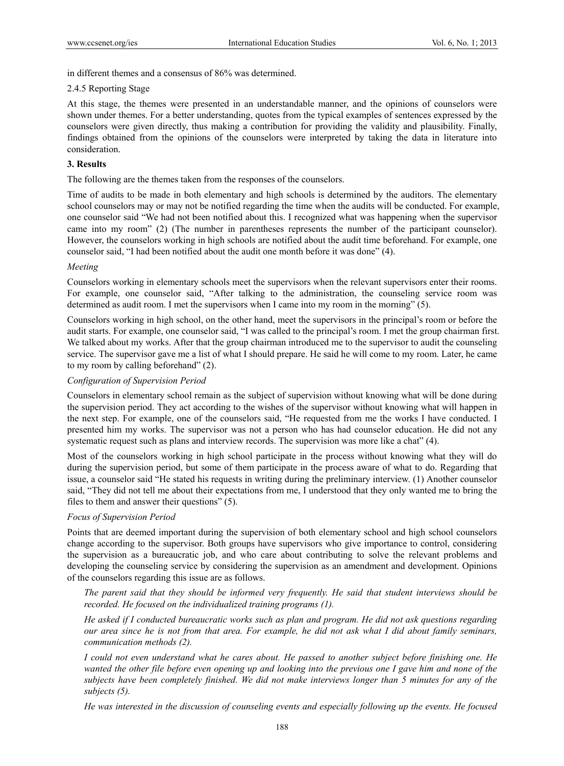in different themes and a consensus of 86% was determined.

# 2.4.5 Reporting Stage

At this stage, the themes were presented in an understandable manner, and the opinions of counselors were shown under themes. For a better understanding, quotes from the typical examples of sentences expressed by the counselors were given directly, thus making a contribution for providing the validity and plausibility. Finally, findings obtained from the opinions of the counselors were interpreted by taking the data in literature into consideration.

# **3. Results**

The following are the themes taken from the responses of the counselors.

Time of audits to be made in both elementary and high schools is determined by the auditors. The elementary school counselors may or may not be notified regarding the time when the audits will be conducted. For example, one counselor said "We had not been notified about this. I recognized what was happening when the supervisor came into my room" (2) (The number in parentheses represents the number of the participant counselor). However, the counselors working in high schools are notified about the audit time beforehand. For example, one counselor said, "I had been notified about the audit one month before it was done" (4).

# *Meeting*

Counselors working in elementary schools meet the supervisors when the relevant supervisors enter their rooms. For example, one counselor said, "After talking to the administration, the counseling service room was determined as audit room. I met the supervisors when I came into my room in the morning" (5).

Counselors working in high school, on the other hand, meet the supervisors in the principal's room or before the audit starts. For example, one counselor said, "I was called to the principal's room. I met the group chairman first. We talked about my works. After that the group chairman introduced me to the supervisor to audit the counseling service. The supervisor gave me a list of what I should prepare. He said he will come to my room. Later, he came to my room by calling beforehand" (2).

# *Configuration of Supervision Period*

Counselors in elementary school remain as the subject of supervision without knowing what will be done during the supervision period. They act according to the wishes of the supervisor without knowing what will happen in the next step. For example, one of the counselors said, "He requested from me the works I have conducted. I presented him my works. The supervisor was not a person who has had counselor education. He did not any systematic request such as plans and interview records. The supervision was more like a chat" (4).

Most of the counselors working in high school participate in the process without knowing what they will do during the supervision period, but some of them participate in the process aware of what to do. Regarding that issue, a counselor said "He stated his requests in writing during the preliminary interview. (1) Another counselor said, "They did not tell me about their expectations from me, I understood that they only wanted me to bring the files to them and answer their questions" (5).

# *Focus of Supervision Period*

Points that are deemed important during the supervision of both elementary school and high school counselors change according to the supervisor. Both groups have supervisors who give importance to control, considering the supervision as a bureaucratic job, and who care about contributing to solve the relevant problems and developing the counseling service by considering the supervision as an amendment and development. Opinions of the counselors regarding this issue are as follows.

*The parent said that they should be informed very frequently. He said that student interviews should be recorded. He focused on the individualized training programs (1).* 

*He asked if I conducted bureaucratic works such as plan and program. He did not ask questions regarding our area since he is not from that area. For example, he did not ask what I did about family seminars, communication methods (2).* 

*I could not even understand what he cares about. He passed to another subject before finishing one. He wanted the other file before even opening up and looking into the previous one I gave him and none of the subjects have been completely finished. We did not make interviews longer than 5 minutes for any of the subjects (5).* 

*He was interested in the discussion of counseling events and especially following up the events. He focused*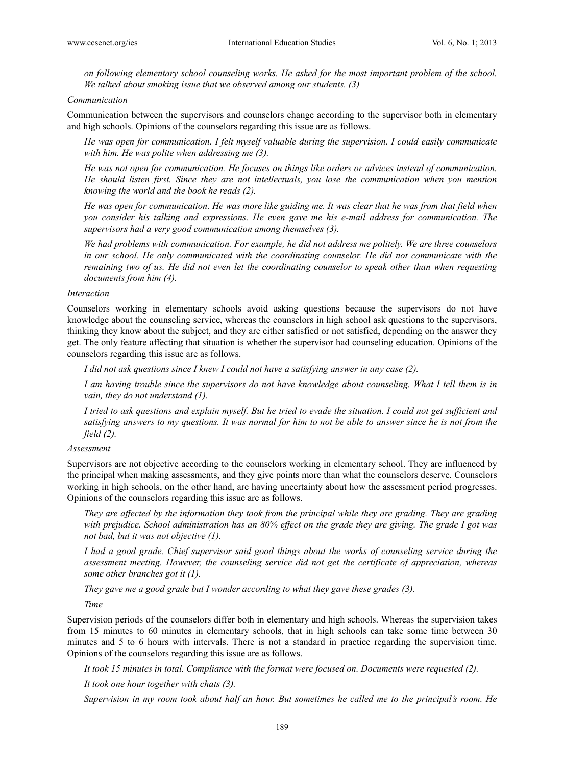*on following elementary school counseling works. He asked for the most important problem of the school. We talked about smoking issue that we observed among our students. (3)* 

#### *Communication*

Communication between the supervisors and counselors change according to the supervisor both in elementary and high schools. Opinions of the counselors regarding this issue are as follows.

*He was open for communication. I felt myself valuable during the supervision. I could easily communicate with him. He was polite when addressing me (3).* 

*He was not open for communication. He focuses on things like orders or advices instead of communication. He should listen first. Since they are not intellectuals, you lose the communication when you mention knowing the world and the book he reads (2).* 

*He was open for communication. He was more like guiding me. It was clear that he was from that field when you consider his talking and expressions. He even gave me his e-mail address for communication. The supervisors had a very good communication among themselves (3).* 

*We had problems with communication. For example, he did not address me politely. We are three counselors in our school. He only communicated with the coordinating counselor. He did not communicate with the remaining two of us. He did not even let the coordinating counselor to speak other than when requesting documents from him (4).* 

## *Interaction*

Counselors working in elementary schools avoid asking questions because the supervisors do not have knowledge about the counseling service, whereas the counselors in high school ask questions to the supervisors, thinking they know about the subject, and they are either satisfied or not satisfied, depending on the answer they get. The only feature affecting that situation is whether the supervisor had counseling education. Opinions of the counselors regarding this issue are as follows.

*I did not ask questions since I knew I could not have a satisfying answer in any case (2).* 

*I am having trouble since the supervisors do not have knowledge about counseling. What I tell them is in vain, they do not understand (1).* 

*I tried to ask questions and explain myself. But he tried to evade the situation. I could not get sufficient and satisfying answers to my questions. It was normal for him to not be able to answer since he is not from the field (2).* 

#### *Assessment*

Supervisors are not objective according to the counselors working in elementary school. They are influenced by the principal when making assessments, and they give points more than what the counselors deserve. Counselors working in high schools, on the other hand, are having uncertainty about how the assessment period progresses. Opinions of the counselors regarding this issue are as follows.

*They are affected by the information they took from the principal while they are grading. They are grading with prejudice. School administration has an 80% effect on the grade they are giving. The grade I got was not bad, but it was not objective (1).* 

*I had a good grade. Chief supervisor said good things about the works of counseling service during the assessment meeting. However, the counseling service did not get the certificate of appreciation, whereas some other branches got it (1).* 

*They gave me a good grade but I wonder according to what they gave these grades (3).* 

*Time* 

Supervision periods of the counselors differ both in elementary and high schools. Whereas the supervision takes from 15 minutes to 60 minutes in elementary schools, that in high schools can take some time between 30 minutes and 5 to 6 hours with intervals. There is not a standard in practice regarding the supervision time. Opinions of the counselors regarding this issue are as follows.

*It took 15 minutes in total. Compliance with the format were focused on. Documents were requested (2).* 

*It took one hour together with chats (3).* 

*Supervision in my room took about half an hour. But sometimes he called me to the principal's room. He*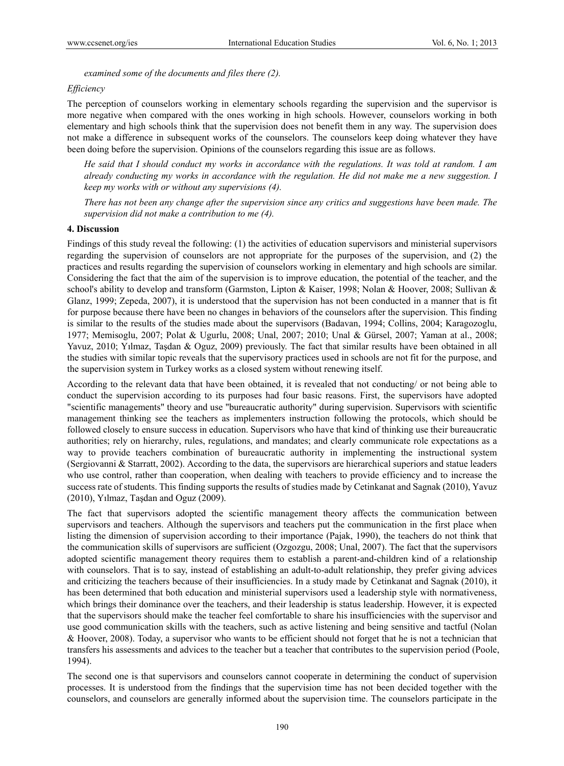*examined some of the documents and files there (2).* 

## *Efficiency*

The perception of counselors working in elementary schools regarding the supervision and the supervisor is more negative when compared with the ones working in high schools. However, counselors working in both elementary and high schools think that the supervision does not benefit them in any way. The supervision does not make a difference in subsequent works of the counselors. The counselors keep doing whatever they have been doing before the supervision. Opinions of the counselors regarding this issue are as follows.

*He said that I should conduct my works in accordance with the regulations. It was told at random. I am already conducting my works in accordance with the regulation. He did not make me a new suggestion. I keep my works with or without any supervisions (4).* 

*There has not been any change after the supervision since any critics and suggestions have been made. The supervision did not make a contribution to me (4).* 

## **4. Discussion**

Findings of this study reveal the following: (1) the activities of education supervisors and ministerial supervisors regarding the supervision of counselors are not appropriate for the purposes of the supervision, and (2) the practices and results regarding the supervision of counselors working in elementary and high schools are similar. Considering the fact that the aim of the supervision is to improve education, the potential of the teacher, and the school's ability to develop and transform (Garmston, Lipton & Kaiser, 1998; Nolan & Hoover, 2008; Sullivan & Glanz, 1999; Zepeda, 2007), it is understood that the supervision has not been conducted in a manner that is fit for purpose because there have been no changes in behaviors of the counselors after the supervision. This finding is similar to the results of the studies made about the supervisors (Badavan, 1994; Collins, 2004; Karagozoglu, 1977; Memisoglu, 2007; Polat & Ugurlu, 2008; Unal, 2007; 2010; Unal & Gürsel, 2007; Yaman at al., 2008; Yavuz, 2010; Yılmaz, Taşdan & Oguz, 2009) previously. The fact that similar results have been obtained in all the studies with similar topic reveals that the supervisory practices used in schools are not fit for the purpose, and the supervision system in Turkey works as a closed system without renewing itself.

According to the relevant data that have been obtained, it is revealed that not conducting/ or not being able to conduct the supervision according to its purposes had four basic reasons. First, the supervisors have adopted "scientific managements" theory and use "bureaucratic authority" during supervision. Supervisors with scientific management thinking see the teachers as implementers instruction following the protocols, which should be followed closely to ensure success in education. Supervisors who have that kind of thinking use their bureaucratic authorities; rely on hierarchy, rules, regulations, and mandates; and clearly communicate role expectations as a way to provide teachers combination of bureaucratic authority in implementing the instructional system (Sergiovanni & Starratt, 2002). According to the data, the supervisors are hierarchical superiors and statue leaders who use control, rather than cooperation, when dealing with teachers to provide efficiency and to increase the success rate of students. This finding supports the results of studies made by Cetinkanat and Sagnak (2010), Yavuz (2010), Yılmaz, Taşdan and Oguz (2009).

The fact that supervisors adopted the scientific management theory affects the communication between supervisors and teachers. Although the supervisors and teachers put the communication in the first place when listing the dimension of supervision according to their importance (Pajak, 1990), the teachers do not think that the communication skills of supervisors are sufficient (Ozgozgu, 2008; Unal, 2007). The fact that the supervisors adopted scientific management theory requires them to establish a parent-and-children kind of a relationship with counselors. That is to say, instead of establishing an adult-to-adult relationship, they prefer giving advices and criticizing the teachers because of their insufficiencies. In a study made by Cetinkanat and Sagnak (2010), it has been determined that both education and ministerial supervisors used a leadership style with normativeness, which brings their dominance over the teachers, and their leadership is status leadership. However, it is expected that the supervisors should make the teacher feel comfortable to share his insufficiencies with the supervisor and use good communication skills with the teachers, such as active listening and being sensitive and tactful (Nolan & Hoover, 2008). Today, a supervisor who wants to be efficient should not forget that he is not a technician that transfers his assessments and advices to the teacher but a teacher that contributes to the supervision period (Poole, 1994).

The second one is that supervisors and counselors cannot cooperate in determining the conduct of supervision processes. It is understood from the findings that the supervision time has not been decided together with the counselors, and counselors are generally informed about the supervision time. The counselors participate in the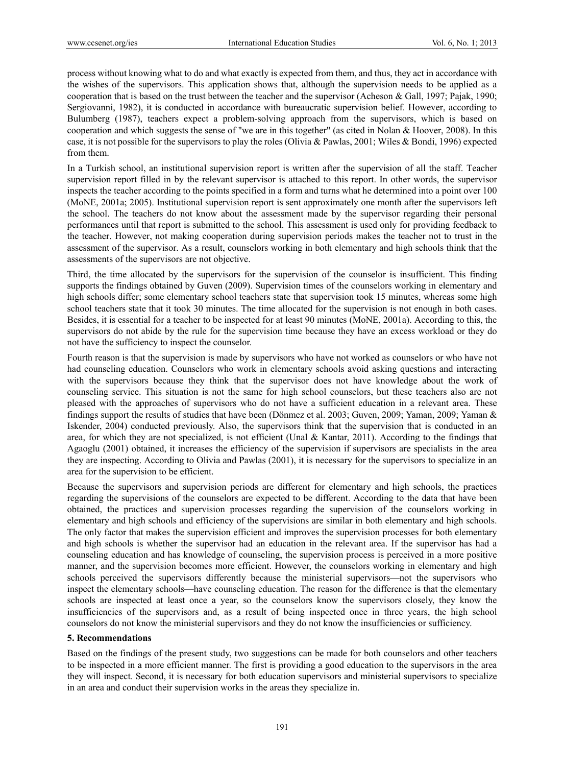process without knowing what to do and what exactly is expected from them, and thus, they act in accordance with the wishes of the supervisors. This application shows that, although the supervision needs to be applied as a cooperation that is based on the trust between the teacher and the supervisor (Acheson & Gall, 1997; Pajak, 1990; Sergiovanni, 1982), it is conducted in accordance with bureaucratic supervision belief. However, according to Bulumberg (1987), teachers expect a problem-solving approach from the supervisors, which is based on cooperation and which suggests the sense of "we are in this together" (as cited in Nolan & Hoover, 2008). In this case, it is not possible for the supervisors to play the roles (Olivia & Pawlas, 2001; Wiles & Bondi, 1996) expected from them.

In a Turkish school, an institutional supervision report is written after the supervision of all the staff. Teacher supervision report filled in by the relevant supervisor is attached to this report. In other words, the supervisor inspects the teacher according to the points specified in a form and turns what he determined into a point over 100 (MoNE, 2001a; 2005). Institutional supervision report is sent approximately one month after the supervisors left the school. The teachers do not know about the assessment made by the supervisor regarding their personal performances until that report is submitted to the school. This assessment is used only for providing feedback to the teacher. However, not making cooperation during supervision periods makes the teacher not to trust in the assessment of the supervisor. As a result, counselors working in both elementary and high schools think that the assessments of the supervisors are not objective.

Third, the time allocated by the supervisors for the supervision of the counselor is insufficient. This finding supports the findings obtained by Guven (2009). Supervision times of the counselors working in elementary and high schools differ; some elementary school teachers state that supervision took 15 minutes, whereas some high school teachers state that it took 30 minutes. The time allocated for the supervision is not enough in both cases. Besides, it is essential for a teacher to be inspected for at least 90 minutes (MoNE, 2001a). According to this, the supervisors do not abide by the rule for the supervision time because they have an excess workload or they do not have the sufficiency to inspect the counselor.

Fourth reason is that the supervision is made by supervisors who have not worked as counselors or who have not had counseling education. Counselors who work in elementary schools avoid asking questions and interacting with the supervisors because they think that the supervisor does not have knowledge about the work of counseling service. This situation is not the same for high school counselors, but these teachers also are not pleased with the approaches of supervisors who do not have a sufficient education in a relevant area. These findings support the results of studies that have been (Dönmez et al. 2003; Guven, 2009; Yaman, 2009; Yaman & Iskender, 2004) conducted previously. Also, the supervisors think that the supervision that is conducted in an area, for which they are not specialized, is not efficient (Unal & Kantar, 2011). According to the findings that Agaoglu (2001) obtained, it increases the efficiency of the supervision if supervisors are specialists in the area they are inspecting. According to Olivia and Pawlas (2001), it is necessary for the supervisors to specialize in an area for the supervision to be efficient.

Because the supervisors and supervision periods are different for elementary and high schools, the practices regarding the supervisions of the counselors are expected to be different. According to the data that have been obtained, the practices and supervision processes regarding the supervision of the counselors working in elementary and high schools and efficiency of the supervisions are similar in both elementary and high schools. The only factor that makes the supervision efficient and improves the supervision processes for both elementary and high schools is whether the supervisor had an education in the relevant area. If the supervisor has had a counseling education and has knowledge of counseling, the supervision process is perceived in a more positive manner, and the supervision becomes more efficient. However, the counselors working in elementary and high schools perceived the supervisors differently because the ministerial supervisors—not the supervisors who inspect the elementary schools—have counseling education. The reason for the difference is that the elementary schools are inspected at least once a year, so the counselors know the supervisors closely, they know the insufficiencies of the supervisors and, as a result of being inspected once in three years, the high school counselors do not know the ministerial supervisors and they do not know the insufficiencies or sufficiency.

# **5. Recommendations**

Based on the findings of the present study, two suggestions can be made for both counselors and other teachers to be inspected in a more efficient manner. The first is providing a good education to the supervisors in the area they will inspect. Second, it is necessary for both education supervisors and ministerial supervisors to specialize in an area and conduct their supervision works in the areas they specialize in.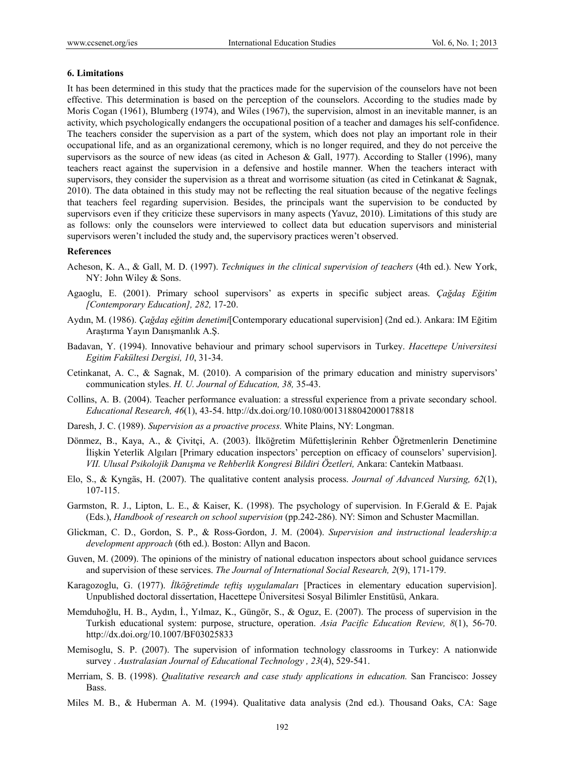## **6. Limitations**

It has been determined in this study that the practices made for the supervision of the counselors have not been effective. This determination is based on the perception of the counselors. According to the studies made by Moris Cogan (1961), Blumberg (1974), and Wiles (1967), the supervision, almost in an inevitable manner, is an activity, which psychologically endangers the occupational position of a teacher and damages his self-confidence. The teachers consider the supervision as a part of the system, which does not play an important role in their occupational life, and as an organizational ceremony, which is no longer required, and they do not perceive the supervisors as the source of new ideas (as cited in Acheson & Gall, 1977). According to Staller (1996), many teachers react against the supervision in a defensive and hostile manner. When the teachers interact with supervisors, they consider the supervision as a threat and worrisome situation (as cited in Cetinkanat & Sagnak, 2010). The data obtained in this study may not be reflecting the real situation because of the negative feelings that teachers feel regarding supervision. Besides, the principals want the supervision to be conducted by supervisors even if they criticize these supervisors in many aspects (Yavuz, 2010). Limitations of this study are as follows: only the counselors were interviewed to collect data but education supervisors and ministerial supervisors weren't included the study and, the supervisory practices weren't observed.

#### **References**

- Acheson, K. A., & Gall, M. D. (1997). *Techniques in the clinical supervision of teachers* (4th ed.). New York, NY: John Wiley & Sons.
- Agaoglu, E. (2001). Primary school supervisors' as experts in specific subject areas. *Çağdaş Eğitim [Contemporary Education], 282,* 17-20.
- Aydın, M. (1986). *Çağdaş eğitim denetimi*[Contemporary educational supervision] (2nd ed.). Ankara: IM Eğitim Araştırma Yayın Danışmanlık A.Ş.
- Badavan, Y. (1994). Innovative behaviour and primary school supervisors in Turkey. *Hacettepe Universitesi Egitim Fakültesi Dergisi, 10*, 31-34.
- Cetinkanat, A. C., & Sagnak, M. (2010). A comparision of the primary education and ministry supervisors' communication styles. *H. U. Journal of Education, 38,* 35-43.
- Collins, A. B. (2004). Teacher performance evaluation: a stressful experience from a private secondary school. *Educational Research, 46*(1), 43-54. http://dx.doi.org/10.1080/0013188042000178818
- Daresh, J. C. (1989). *Supervision as a proactive process.* White Plains, NY: Longman.
- Dönmez, B., Kaya, A., & Çivitçi, A. (2003). İlköğretim Müfettişlerinin Rehber Öğretmenlerin Denetimine İlişkin Yeterlik Algıları [Primary education inspectors' perception on efficacy of counselors' supervision]. *VII. Ulusal Psikolojik Danışma ve Rehberlik Kongresi Bildiri Özetleri,* Ankara: Cantekin Matbaası.
- Elo, S., & Kyngäs, H. (2007). The qualitative content analysis process. *Journal of Advanced Nursing, 62*(1), 107-115.
- Garmston, R. J., Lipton, L. E., & Kaiser, K. (1998). The psychology of supervision. In F.Gerald & E. Pajak (Eds.), *Handbook of research on school supervision* (pp.242-286). NY: Simon and Schuster Macmillan.
- Glickman, C. D., Gordon, S. P., & Ross-Gordon, J. M. (2004). *Supervision and instructional leadership:a development approach* (6th ed.). Boston: Allyn and Bacon.
- Guven, M. (2009). The opinions of the ministry of national educatıon inspectors about school guidance servıces and supervision of these services. *The Journal of International Social Research, 2*(9), 171-179.
- Karagozoglu, G. (1977). *İlköğretimde teftiş uygulamaları* [Practices in elementary education supervision]. Unpublished doctoral dissertation, Hacettepe Üniversitesi Sosyal Bilimler Enstitüsü, Ankara.
- Memduhoğlu, H. B., Aydın, İ., Yılmaz, K., Güngör, S., & Oguz, E. (2007). The process of supervision in the Turkish educational system: purpose, structure, operation. *Asia Pacific Education Review, 8*(1), 56-70. http://dx.doi.org/10.1007/BF03025833
- Memisoglu, S. P. (2007). The supervision of information technology classrooms in Turkey: A nationwide survey . *Australasian Journal of Educational Technology , 23*(4), 529-541.
- Merriam, S. B. (1998). *Qualitative research and case study applications in education.* San Francisco: Jossey **Bass**.
- Miles M. B., & Huberman A. M. (1994). Qualitative data analysis (2nd ed.). Thousand Oaks, CA: Sage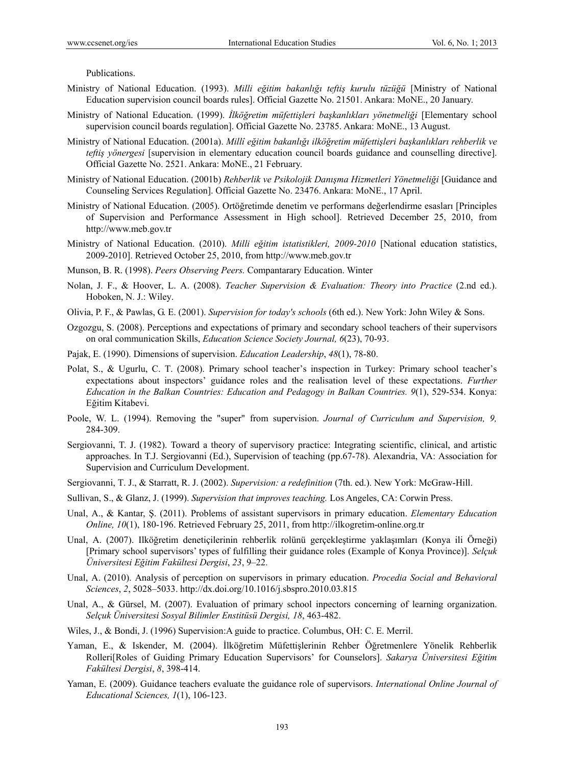Publications.

- Ministry of National Education. (1993). *Milli eğitim bakanlığı teftiş kurulu tüzüğü* [Ministry of National Education supervision council boards rules]. Official Gazette No. 21501. Ankara: MoNE., 20 January.
- Ministry of National Education. (1999). *İlköğretim müfettişleri başkanlıkları yönetmeliği* [Elementary school supervision council boards regulation]. Official Gazette No. 23785. Ankara: MoNE., 13 August.
- Ministry of National Education. (2001a). *Millî eğitim bakanlığı ilköğretim müfettişleri başkanlıkları rehberlik ve teftis yönergesi* [supervision in elementary education council boards guidance and counselling directive]. Official Gazette No. 2521. Ankara: MoNE., 21 February.
- Ministry of National Education. (2001b) *Rehberlik ve Psikolojik Danışma Hizmetleri Yönetmeliği* [Guidance and Counseling Services Regulation]. Official Gazette No. 23476. Ankara: MoNE., 17 April.
- Ministry of National Education. (2005). Ortöğretimde denetim ve performans değerlendirme esasları [Principles of Supervision and Performance Assessment in High school]. Retrieved December 25, 2010, from http://www.meb.gov.tr
- Ministry of National Education. (2010). *Milli eğitim istatistikleri, 2009-2010* [National education statistics, 2009-2010]. Retrieved October 25, 2010, from http://www.meb.gov.tr
- Munson, B. R. (1998). *Peers Observing Peers.* Compantarary Education. Winter
- Nolan, J. F., & Hoover, L. A. (2008). *Teacher Supervision & Evaluation: Theory into Practice* (2.nd ed.). Hoboken, N. J.: Wiley.
- Olivia, P. F., & Pawlas, G. E. (2001). *Supervision for today's schools* (6th ed.). New York: John Wiley & Sons.
- Ozgozgu, S. (2008). Perceptions and expectations of primary and secondary school teachers of their supervisors on oral communication Skills, *Education Science Society Journal, 6*(23), 70-93.
- Pajak, E. (1990). Dimensions of supervision. *Education Leadership*, *48*(1), 78-80.
- Polat, S., & Ugurlu, C. T. (2008). Primary school teacher's inspection in Turkey: Primary school teacher's expectations about inspectors' guidance roles and the realisation level of these expectations. *Further Education in the Balkan Countries: Education and Pedagogy in Balkan Countries. 9*(1), 529-534. Konya: Eğitim Kitabevi.
- Poole, W. L. (1994). Removing the "super" from supervision. *Journal of Curriculum and Supervision, 9,*  284-309.
- Sergiovanni, T. J. (1982). Toward a theory of supervisory practice: Integrating scientific, clinical, and artistic approaches. In T.J. Sergiovanni (Ed.), Supervision of teaching (pp.67-78). Alexandria, VA: Association for Supervision and Curriculum Development.
- Sergiovanni, T. J., & Starratt, R. J. (2002). *Supervision: a redefinition* (7th. ed.). New York: McGraw-Hill.
- Sullivan, S., & Glanz, J. (1999). *Supervision that improves teaching.* Los Angeles, CA: Corwin Press.
- Unal, A., & Kantar, Ş. (2011). Problems of assistant supervisors in primary education. *Elementary Education Online, 10*(1), 180-196. Retrieved February 25, 2011, from http://ilkogretim-online.org.tr
- Unal, A. (2007). Ilköğretim denetiçilerinin rehberlik rolünü gerçekleştirme yaklaşımları (Konya ili Örneği) [Primary school supervisors' types of fulfilling their guidance roles (Example of Konya Province)]. *Selçuk Üniversitesi Eğitim Fakültesi Dergisi*, *23*, 9–22.
- Unal, A. (2010). Analysis of perception on supervisors in primary education. *Procedia Social and Behavioral Sciences*, *2*, 5028–5033. http://dx.doi.org/10.1016/j.sbspro.2010.03.815
- Unal, A., & Gürsel, M. (2007). Evaluation of primary school inpectors concerning of learning organization. *Selçuk Üniversitesi Sosyal Bilimler Enstitüsü Dergisi, 18*, 463-482.
- Wiles, J., & Bondi, J. (1996) Supervision:A guide to practice. Columbus, OH: C. E. Merril.
- Yaman, E., & Iskender, M. (2004). İlköğretim Müfettişlerinin Rehber Öğretmenlere Yönelik Rehberlik Rolleri[Roles of Guiding Primary Education Supervisors' for Counselors]. *Sakarya Üniversitesi Eğitim Fakültesi Dergisi*, *8*, 398-414.
- Yaman, E. (2009). Guidance teachers evaluate the guidance role of supervisors. *International Online Journal of Educational Sciences, 1*(1), 106-123.